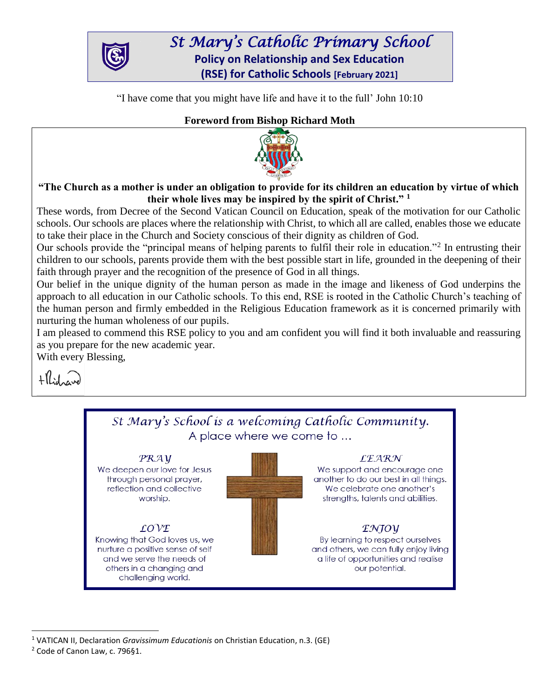

*St Mary's Catholic Primary School*  **Policy on Relationship and Sex Education (RSE) for Catholic Schools [February 2021]**

"I have come that you might have life and have it to the full' John 10:10

# **Foreword from Bishop Richard Moth**



**"The Church as a mother is under an obligation to provide for its children an education by virtue of which their whole lives may be inspired by the spirit of Christ." <sup>1</sup>**

These words, from Decree of the Second Vatican Council on Education, speak of the motivation for our Catholic schools. Our schools are places where the relationship with Christ, to which all are called, enables those we educate to take their place in the Church and Society conscious of their dignity as children of God.

Our schools provide the "principal means of helping parents to fulfil their role in education."<sup>2</sup> In entrusting their children to our schools, parents provide them with the best possible start in life, grounded in the deepening of their faith through prayer and the recognition of the presence of God in all things.

Our belief in the unique dignity of the human person as made in the image and likeness of God underpins the approach to all education in our Catholic schools. To this end, RSE is rooted in the Catholic Church's teaching of the human person and firmly embedded in the Religious Education framework as it is concerned primarily with nurturing the human wholeness of our pupils.

I am pleased to commend this RSE policy to you and am confident you will find it both invaluable and reassuring as you prepare for the new academic year.

With every Blessing,





 $\overline{a}$ <sup>1</sup> VATICAN II, Declaration *Gravissimum Educationis* on Christian Education, n.3. (GE) <sup>2</sup> Code of Canon Law, c. 796§1.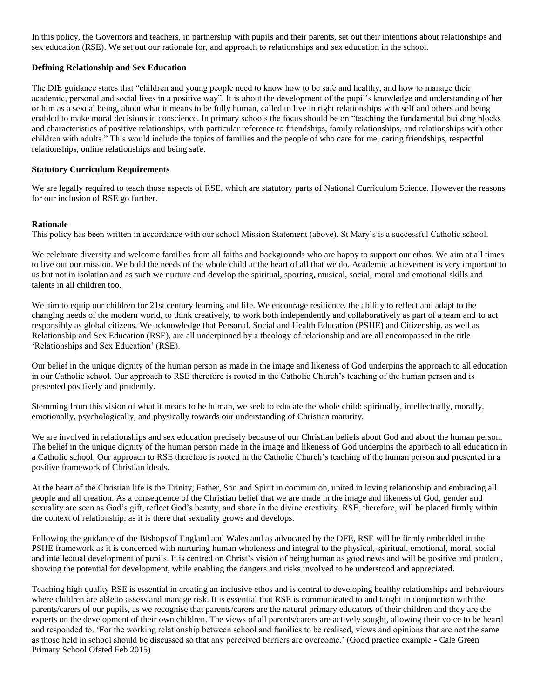In this policy, the Governors and teachers, in partnership with pupils and their parents, set out their intentions about relationships and sex education (RSE). We set out our rationale for, and approach to relationships and sex education in the school.

## **Defining Relationship and Sex Education**

The DfE guidance states that "children and young people need to know how to be safe and healthy, and how to manage their academic, personal and social lives in a positive way". It is about the development of the pupil's knowledge and understanding of her or him as a sexual being, about what it means to be fully human, called to live in right relationships with self and others and being enabled to make moral decisions in conscience. In primary schools the focus should be on "teaching the fundamental building blocks and characteristics of positive relationships, with particular reference to friendships, family relationships, and relationships with other children with adults." This would include the topics of families and the people of who care for me, caring friendships, respectful relationships, online relationships and being safe.

## **Statutory Curriculum Requirements**

We are legally required to teach those aspects of RSE, which are statutory parts of National Curriculum Science. However the reasons for our inclusion of RSE go further.

## **Rationale**

This policy has been written in accordance with our school Mission Statement (above). St Mary's is a successful Catholic school.

We celebrate diversity and welcome families from all faiths and backgrounds who are happy to support our ethos. We aim at all times to live out our mission. We hold the needs of the whole child at the heart of all that we do. Academic achievement is very important to us but not in isolation and as such we nurture and develop the spiritual, sporting, musical, social, moral and emotional skills and talents in all children too.

We aim to equip our children for 21st century learning and life. We encourage resilience, the ability to reflect and adapt to the changing needs of the modern world, to think creatively, to work both independently and collaboratively as part of a team and to act responsibly as global citizens. We acknowledge that Personal, Social and Health Education (PSHE) and Citizenship, as well as Relationship and Sex Education (RSE), are all underpinned by a theology of relationship and are all encompassed in the title 'Relationships and Sex Education' (RSE).

Our belief in the unique dignity of the human person as made in the image and likeness of God underpins the approach to all education in our Catholic school. Our approach to RSE therefore is rooted in the Catholic Church's teaching of the human person and is presented positively and prudently.

Stemming from this vision of what it means to be human, we seek to educate the whole child: spiritually, intellectually, morally, emotionally, psychologically, and physically towards our understanding of Christian maturity.

We are involved in relationships and sex education precisely because of our Christian beliefs about God and about the human person. The belief in the unique dignity of the human person made in the image and likeness of God underpins the approach to all education in a Catholic school. Our approach to RSE therefore is rooted in the Catholic Church's teaching of the human person and presented in a positive framework of Christian ideals.

At the heart of the Christian life is the Trinity; Father, Son and Spirit in communion, united in loving relationship and embracing all people and all creation. As a consequence of the Christian belief that we are made in the image and likeness of God, gender and sexuality are seen as God's gift, reflect God's beauty, and share in the divine creativity. RSE, therefore, will be placed firmly within the context of relationship, as it is there that sexuality grows and develops.

Following the guidance of the Bishops of England and Wales and as advocated by the DFE, RSE will be firmly embedded in the PSHE framework as it is concerned with nurturing human wholeness and integral to the physical, spiritual, emotional, moral, social and intellectual development of pupils. It is centred on Christ's vision of being human as good news and will be positive and prudent, showing the potential for development, while enabling the dangers and risks involved to be understood and appreciated.

Teaching high quality RSE is essential in creating an inclusive ethos and is central to developing healthy relationships and behaviours where children are able to assess and manage risk. It is essential that RSE is communicated to and taught in conjunction with the parents/carers of our pupils, as we recognise that parents/carers are the natural primary educators of their children and they are the experts on the development of their own children. The views of all parents/carers are actively sought, allowing their voice to be heard and responded to. 'For the working relationship between school and families to be realised, views and opinions that are not the same as those held in school should be discussed so that any perceived barriers are overcome.' (Good practice example - Cale Green Primary School Ofsted Feb 2015)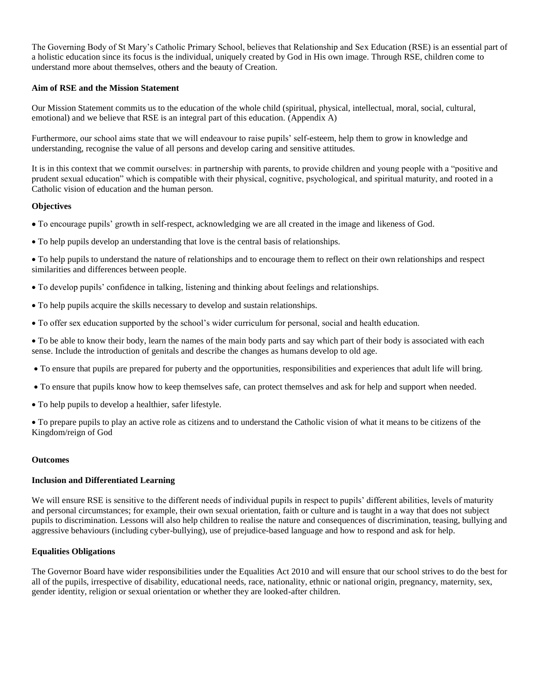The Governing Body of St Mary's Catholic Primary School, believes that Relationship and Sex Education (RSE) is an essential part of a holistic education since its focus is the individual, uniquely created by God in His own image. Through RSE, children come to understand more about themselves, others and the beauty of Creation.

## **Aim of RSE and the Mission Statement**

Our Mission Statement commits us to the education of the whole child (spiritual, physical, intellectual, moral, social, cultural, emotional) and we believe that RSE is an integral part of this education. (Appendix A)

Furthermore, our school aims state that we will endeavour to raise pupils' self-esteem, help them to grow in knowledge and understanding, recognise the value of all persons and develop caring and sensitive attitudes.

It is in this context that we commit ourselves: in partnership with parents, to provide children and young people with a "positive and prudent sexual education" which is compatible with their physical, cognitive, psychological, and spiritual maturity, and rooted in a Catholic vision of education and the human person.

#### **Objectives**

- To encourage pupils' growth in self-respect, acknowledging we are all created in the image and likeness of God.
- To help pupils develop an understanding that love is the central basis of relationships.

 To help pupils to understand the nature of relationships and to encourage them to reflect on their own relationships and respect similarities and differences between people.

- To develop pupils' confidence in talking, listening and thinking about feelings and relationships.
- To help pupils acquire the skills necessary to develop and sustain relationships.
- To offer sex education supported by the school's wider curriculum for personal, social and health education.

 To be able to know their body, learn the names of the main body parts and say which part of their body is associated with each sense. Include the introduction of genitals and describe the changes as humans develop to old age.

- To ensure that pupils are prepared for puberty and the opportunities, responsibilities and experiences that adult life will bring.
- To ensure that pupils know how to keep themselves safe, can protect themselves and ask for help and support when needed.
- To help pupils to develop a healthier, safer lifestyle.

 To prepare pupils to play an active role as citizens and to understand the Catholic vision of what it means to be citizens of the Kingdom/reign of God

#### **Outcomes**

#### **Inclusion and Differentiated Learning**

We will ensure RSE is sensitive to the different needs of individual pupils in respect to pupils' different abilities, levels of maturity and personal circumstances; for example, their own sexual orientation, faith or culture and is taught in a way that does not subject pupils to discrimination. Lessons will also help children to realise the nature and consequences of discrimination, teasing, bullying and aggressive behaviours (including cyber-bullying), use of prejudice-based language and how to respond and ask for help.

#### **Equalities Obligations**

The Governor Board have wider responsibilities under the Equalities Act 2010 and will ensure that our school strives to do the best for all of the pupils, irrespective of disability, educational needs, race, nationality, ethnic or national origin, pregnancy, maternity, sex, gender identity, religion or sexual orientation or whether they are looked-after children.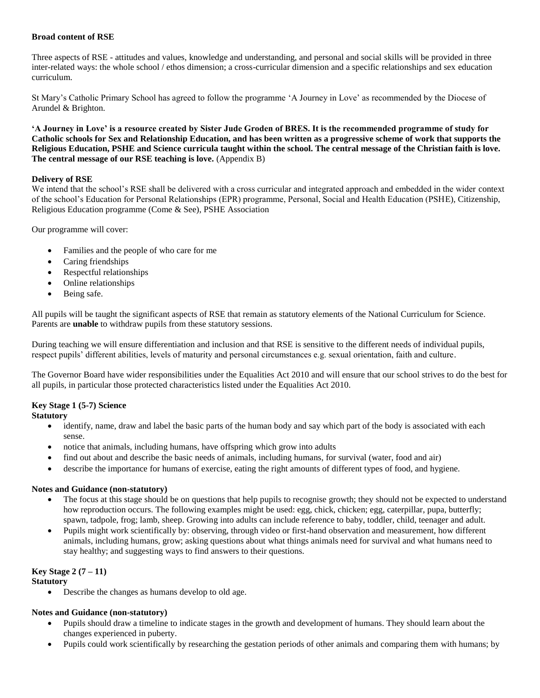## **Broad content of RSE**

Three aspects of RSE - attitudes and values, knowledge and understanding, and personal and social skills will be provided in three inter-related ways: the whole school / ethos dimension; a cross-curricular dimension and a specific relationships and sex education curriculum.

St Mary's Catholic Primary School has agreed to follow the programme 'A Journey in Love' as recommended by the Diocese of Arundel & Brighton.

**'A Journey in Love' is a resource created by Sister Jude Groden of BRES. It is the recommended programme of study for Catholic schools for Sex and Relationship Education, and has been written as a progressive scheme of work that supports the Religious Education, PSHE and Science curricula taught within the school. The central message of the Christian faith is love. The central message of our RSE teaching is love.** (Appendix B)

## **Delivery of RSE**

We intend that the school's RSE shall be delivered with a cross curricular and integrated approach and embedded in the wider context of the school's Education for Personal Relationships (EPR) programme, Personal, Social and Health Education (PSHE), Citizenship, Religious Education programme (Come & See), PSHE Association

Our programme will cover:

- Families and the people of who care for me
- Caring friendships
- Respectful relationships
- Online relationships
- Being safe.

All pupils will be taught the significant aspects of RSE that remain as statutory elements of the National Curriculum for Science. Parents are **unable** to withdraw pupils from these statutory sessions.

During teaching we will ensure differentiation and inclusion and that RSE is sensitive to the different needs of individual pupils, respect pupils' different abilities, levels of maturity and personal circumstances e.g. sexual orientation, faith and culture.

The Governor Board have wider responsibilities under the Equalities Act 2010 and will ensure that our school strives to do the best for all pupils, in particular those protected characteristics listed under the Equalities Act 2010.

## **Key Stage 1 (5-7) Science**

## **Statutory**

- identify, name, draw and label the basic parts of the human body and say which part of the body is associated with each sense.
- notice that animals, including humans, have offspring which grow into adults
- find out about and describe the basic needs of animals, including humans, for survival (water, food and air)
- describe the importance for humans of exercise, eating the right amounts of different types of food, and hygiene.

## **Notes and Guidance (non-statutory)**

- The focus at this stage should be on questions that help pupils to recognise growth; they should not be expected to understand how reproduction occurs. The following examples might be used: egg, chick, chicken; egg, caterpillar, pupa, butterfly; spawn, tadpole, frog; lamb, sheep. Growing into adults can include reference to baby, toddler, child, teenager and adult.
- Pupils might work scientifically by: observing, through video or first-hand observation and measurement, how different animals, including humans, grow; asking questions about what things animals need for survival and what humans need to stay healthy; and suggesting ways to find answers to their questions.

## **Key Stage 2 (7 – 11)**

## **Statutory**

Describe the changes as humans develop to old age.

## **Notes and Guidance (non-statutory)**

- Pupils should draw a timeline to indicate stages in the growth and development of humans. They should learn about the changes experienced in puberty.
- Pupils could work scientifically by researching the gestation periods of other animals and comparing them with humans; by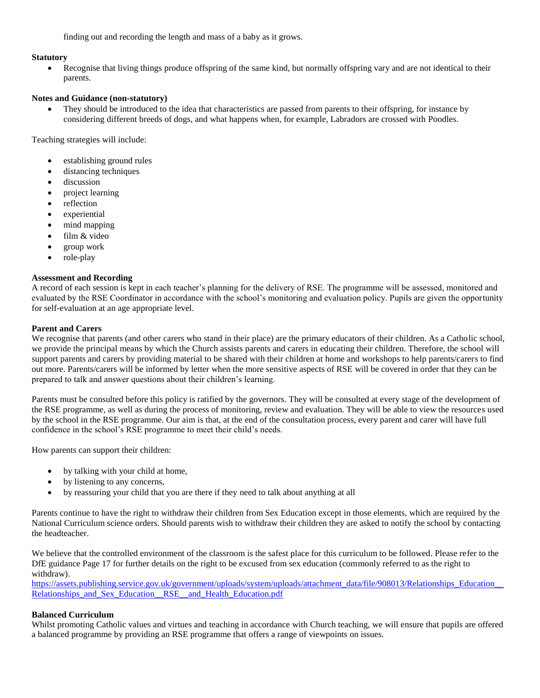finding out and recording the length and mass of a baby as it grows.

#### **Statutory**

 Recognise that living things produce offspring of the same kind, but normally offspring vary and are not identical to their parents.

#### **Notes and Guidance (non-statutory)**

 They should be introduced to the idea that characteristics are passed from parents to their offspring, for instance by considering different breeds of dogs, and what happens when, for example, Labradors are crossed with Poodles.

Teaching strategies will include:

- establishing ground rules
- distancing techniques
- discussion
- project learning
- reflection
- experiential
- mind mapping
- film & video
- group work
- role-play

#### **Assessment and Recording**

A record of each session is kept in each teacher's planning for the delivery of RSE. The programme will be assessed, monitored and evaluated by the RSE Coordinator in accordance with the school's monitoring and evaluation policy. Pupils are given the opportunity for self-evaluation at an age appropriate level.

#### **Parent and Carers**

We recognise that parents (and other carers who stand in their place) are the primary educators of their children. As a Catholic school, we provide the principal means by which the Church assists parents and carers in educating their children. Therefore, the school will support parents and carers by providing material to be shared with their children at home and workshops to help parents/carers to find out more. Parents/carers will be informed by letter when the more sensitive aspects of RSE will be covered in order that they can be prepared to talk and answer questions about their children's learning.

Parents must be consulted before this policy is ratified by the governors. They will be consulted at every stage of the development of the RSE programme, as well as during the process of monitoring, review and evaluation. They will be able to view the resources used by the school in the RSE programme. Our aim is that, at the end of the consultation process, every parent and carer will have full confidence in the school's RSE programme to meet their child's needs.

How parents can support their children:

- by talking with your child at home,
- by listening to any concerns,
- by reassuring your child that you are there if they need to talk about anything at all

Parents continue to have the right to withdraw their children from Sex Education except in those elements, which are required by the National Curriculum science orders. Should parents wish to withdraw their children they are asked to notify the school by contacting the headteacher.

We believe that the controlled environment of the classroom is the safest place for this curriculum to be followed. Please refer to the DfE guidance Page 17 for further details on the right to be excused from sex education (commonly referred to as the right to withdraw).

https://assets.publishing.service.gov.uk/government/uploads/system/uploads/attachment\_data/file/908013/Relationships\_Education Relationships\_and\_Sex\_Education\_RSE\_\_and\_Health\_Education.pdf

#### **Balanced Curriculum**

Whilst promoting Catholic values and virtues and teaching in accordance with Church teaching, we will ensure that pupils are offered a balanced programme by providing an RSE programme that offers a range of viewpoints on issues.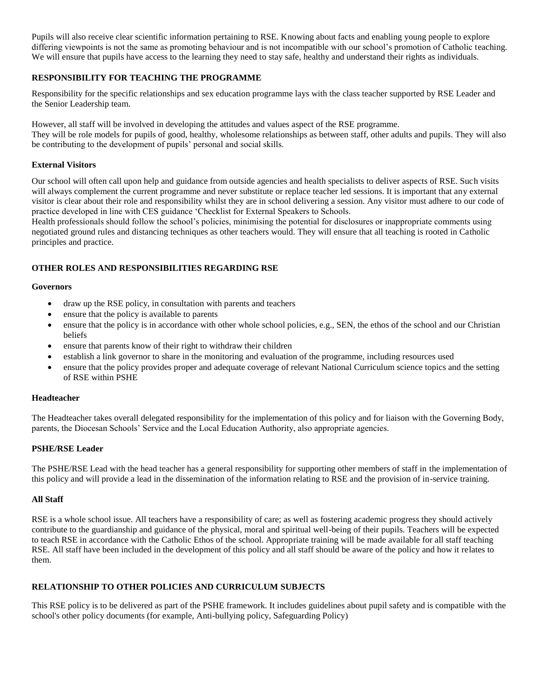Pupils will also receive clear scientific information pertaining to RSE. Knowing about facts and enabling young people to explore differing viewpoints is not the same as promoting behaviour and is not incompatible with our school's promotion of Catholic teaching. We will ensure that pupils have access to the learning they need to stay safe, healthy and understand their rights as individuals.

## **RESPONSIBILITY FOR TEACHING THE PROGRAMME**

Responsibility for the specific relationships and sex education programme lays with the class teacher supported by RSE Leader and the Senior Leadership team.

However, all staff will be involved in developing the attitudes and values aspect of the RSE programme.

They will be role models for pupils of good, healthy, wholesome relationships as between staff, other adults and pupils. They will also be contributing to the development of pupils' personal and social skills.

## **External Visitors**

Our school will often call upon help and guidance from outside agencies and health specialists to deliver aspects of RSE. Such visits will always complement the current programme and never substitute or replace teacher led sessions. It is important that any external visitor is clear about their role and responsibility whilst they are in school delivering a session. Any visitor must adhere to our code of practice developed in line with CES guidance 'Checklist for External Speakers to Schools.

Health professionals should follow the school's policies, minimising the potential for disclosures or inappropriate comments using negotiated ground rules and distancing techniques as other teachers would. They will ensure that all teaching is rooted in Catholic principles and practice.

## **OTHER ROLES AND RESPONSIBILITIES REGARDING RSE**

#### **Governors**

- draw up the RSE policy, in consultation with parents and teachers
- ensure that the policy is available to parents
- ensure that the policy is in accordance with other whole school policies, e.g., SEN, the ethos of the school and our Christian beliefs
- ensure that parents know of their right to withdraw their children
- establish a link governor to share in the monitoring and evaluation of the programme, including resources used
- ensure that the policy provides proper and adequate coverage of relevant National Curriculum science topics and the setting of RSE within PSHE

## **Headteacher**

The Headteacher takes overall delegated responsibility for the implementation of this policy and for liaison with the Governing Body, parents, the Diocesan Schools' Service and the Local Education Authority, also appropriate agencies.

## **PSHE/RSE Leader**

The PSHE/RSE Lead with the head teacher has a general responsibility for supporting other members of staff in the implementation of this policy and will provide a lead in the dissemination of the information relating to RSE and the provision of in-service training.

## **All Staff**

RSE is a whole school issue. All teachers have a responsibility of care; as well as fostering academic progress they should actively contribute to the guardianship and guidance of the physical, moral and spiritual well-being of their pupils. Teachers will be expected to teach RSE in accordance with the Catholic Ethos of the school. Appropriate training will be made available for all staff teaching RSE. All staff have been included in the development of this policy and all staff should be aware of the policy and how it relates to them.

## **RELATIONSHIP TO OTHER POLICIES AND CURRICULUM SUBJECTS**

This RSE policy is to be delivered as part of the PSHE framework. It includes guidelines about pupil safety and is compatible with the school's other policy documents (for example, Anti-bullying policy, Safeguarding Policy)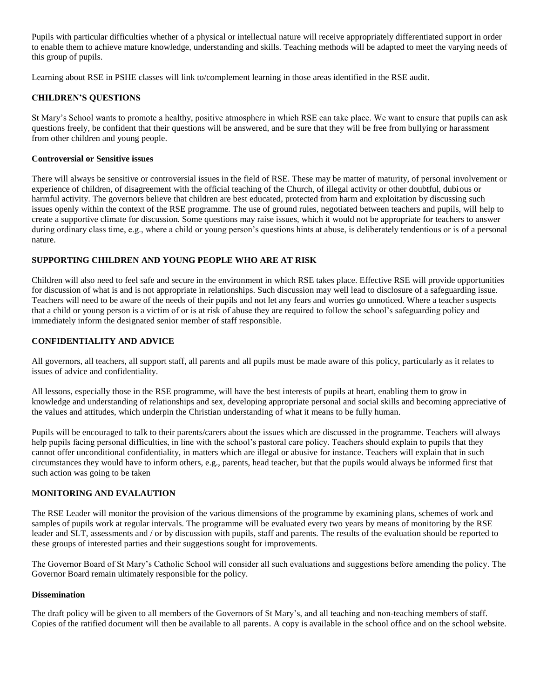Pupils with particular difficulties whether of a physical or intellectual nature will receive appropriately differentiated support in order to enable them to achieve mature knowledge, understanding and skills. Teaching methods will be adapted to meet the varying needs of this group of pupils.

Learning about RSE in PSHE classes will link to/complement learning in those areas identified in the RSE audit.

## **CHILDREN'S QUESTIONS**

St Mary's School wants to promote a healthy, positive atmosphere in which RSE can take place. We want to ensure that pupils can ask questions freely, be confident that their questions will be answered, and be sure that they will be free from bullying or harassment from other children and young people.

#### **Controversial or Sensitive issues**

There will always be sensitive or controversial issues in the field of RSE. These may be matter of maturity, of personal involvement or experience of children, of disagreement with the official teaching of the Church, of illegal activity or other doubtful, dubious or harmful activity. The governors believe that children are best educated, protected from harm and exploitation by discussing such issues openly within the context of the RSE programme. The use of ground rules, negotiated between teachers and pupils, will help to create a supportive climate for discussion. Some questions may raise issues, which it would not be appropriate for teachers to answer during ordinary class time, e.g., where a child or young person's questions hints at abuse, is deliberately tendentious or is of a personal nature.

#### **SUPPORTING CHILDREN AND YOUNG PEOPLE WHO ARE AT RISK**

Children will also need to feel safe and secure in the environment in which RSE takes place. Effective RSE will provide opportunities for discussion of what is and is not appropriate in relationships. Such discussion may well lead to disclosure of a safeguarding issue. Teachers will need to be aware of the needs of their pupils and not let any fears and worries go unnoticed. Where a teacher suspects that a child or young person is a victim of or is at risk of abuse they are required to follow the school's safeguarding policy and immediately inform the designated senior member of staff responsible.

## **CONFIDENTIALITY AND ADVICE**

All governors, all teachers, all support staff, all parents and all pupils must be made aware of this policy, particularly as it relates to issues of advice and confidentiality.

All lessons, especially those in the RSE programme, will have the best interests of pupils at heart, enabling them to grow in knowledge and understanding of relationships and sex, developing appropriate personal and social skills and becoming appreciative of the values and attitudes, which underpin the Christian understanding of what it means to be fully human.

Pupils will be encouraged to talk to their parents/carers about the issues which are discussed in the programme. Teachers will always help pupils facing personal difficulties, in line with the school's pastoral care policy. Teachers should explain to pupils that they cannot offer unconditional confidentiality, in matters which are illegal or abusive for instance. Teachers will explain that in such circumstances they would have to inform others, e.g., parents, head teacher, but that the pupils would always be informed first that such action was going to be taken

## **MONITORING AND EVALAUTION**

The RSE Leader will monitor the provision of the various dimensions of the programme by examining plans, schemes of work and samples of pupils work at regular intervals. The programme will be evaluated every two years by means of monitoring by the RSE leader and SLT, assessments and / or by discussion with pupils, staff and parents. The results of the evaluation should be reported to these groups of interested parties and their suggestions sought for improvements.

The Governor Board of St Mary's Catholic School will consider all such evaluations and suggestions before amending the policy. The Governor Board remain ultimately responsible for the policy.

#### **Dissemination**

The draft policy will be given to all members of the Governors of St Mary's, and all teaching and non-teaching members of staff. Copies of the ratified document will then be available to all parents. A copy is available in the school office and on the school website.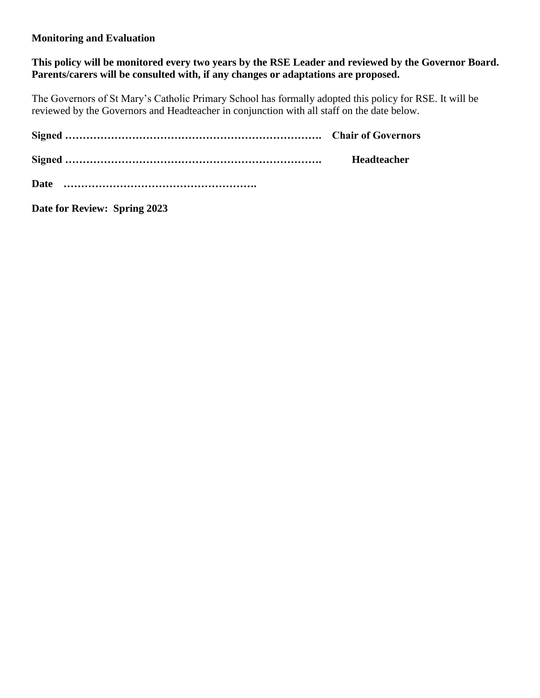## **Monitoring and Evaluation**

**This policy will be monitored every two years by the RSE Leader and reviewed by the Governor Board.**  Parents/carers will be consulted with, if any changes or adaptations are proposed.

The Governors of St Mary's Catholic Primary School has formally adopted this policy for RSE. It will be reviewed by the Governors and Headteacher in conjunction with all staff on the date below.

|             | Headteacher |
|-------------|-------------|
| <b>Date</b> |             |

**Date for Review: Spring 2023**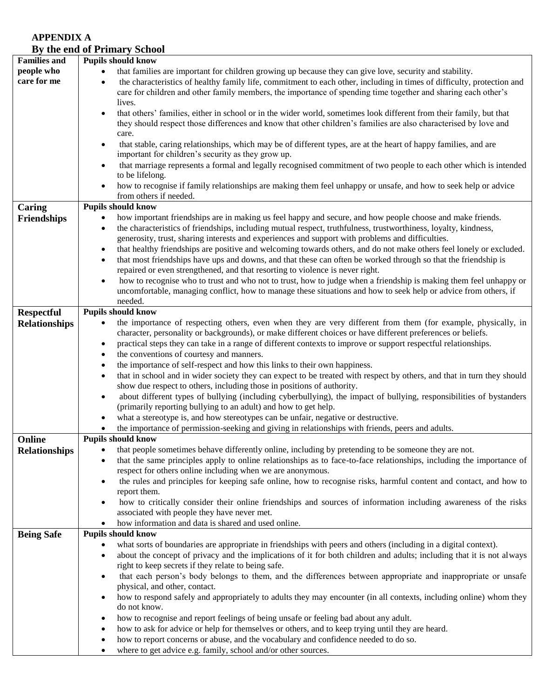## **APPENDIX A By the end of Primary School**

|                      | By the end of Friday School                                                                                                         |
|----------------------|-------------------------------------------------------------------------------------------------------------------------------------|
| <b>Families and</b>  | <b>Pupils should know</b>                                                                                                           |
| people who           | that families are important for children growing up because they can give love, security and stability.<br>$\bullet$                |
| care for me          | the characteristics of healthy family life, commitment to each other, including in times of difficulty, protection and<br>$\bullet$ |
|                      | care for children and other family members, the importance of spending time together and sharing each other's                       |
|                      |                                                                                                                                     |
|                      | lives.                                                                                                                              |
|                      | that others' families, either in school or in the wider world, sometimes look different from their family, but that<br>$\bullet$    |
|                      | they should respect those differences and know that other children's families are also characterised by love and                    |
|                      | care.                                                                                                                               |
|                      | that stable, caring relationships, which may be of different types, are at the heart of happy families, and are<br>$\bullet$        |
|                      | important for children's security as they grow up.                                                                                  |
|                      | that marriage represents a formal and legally recognised commitment of two people to each other which is intended<br>$\bullet$      |
|                      | to be lifelong.                                                                                                                     |
|                      | how to recognise if family relationships are making them feel unhappy or unsafe, and how to seek help or advice<br>$\bullet$        |
|                      | from others if needed.                                                                                                              |
|                      | <b>Pupils should know</b>                                                                                                           |
| Caring               |                                                                                                                                     |
| <b>Friendships</b>   | how important friendships are in making us feel happy and secure, and how people choose and make friends.<br>$\bullet$              |
|                      | the characteristics of friendships, including mutual respect, truthfulness, trustworthiness, loyalty, kindness,<br>$\bullet$        |
|                      | generosity, trust, sharing interests and experiences and support with problems and difficulties.                                    |
|                      | that healthy friendships are positive and welcoming towards others, and do not make others feel lonely or excluded.<br>$\bullet$    |
|                      | that most friendships have ups and downs, and that these can often be worked through so that the friendship is<br>$\bullet$         |
|                      | repaired or even strengthened, and that resorting to violence is never right.                                                       |
|                      | how to recognise who to trust and who not to trust, how to judge when a friendship is making them feel unhappy or<br>$\bullet$      |
|                      | uncomfortable, managing conflict, how to manage these situations and how to seek help or advice from others, if                     |
|                      | needed.                                                                                                                             |
|                      |                                                                                                                                     |
| <b>Respectful</b>    | <b>Pupils should know</b>                                                                                                           |
| <b>Relationships</b> | the importance of respecting others, even when they are very different from them (for example, physically, in<br>$\bullet$          |
|                      | character, personality or backgrounds), or make different choices or have different preferences or beliefs.                         |
|                      | practical steps they can take in a range of different contexts to improve or support respectful relationships.<br>$\bullet$         |
|                      | the conventions of courtesy and manners.<br>$\bullet$                                                                               |
|                      | the importance of self-respect and how this links to their own happiness.<br>$\bullet$                                              |
|                      | that in school and in wider society they can expect to be treated with respect by others, and that in turn they should<br>$\bullet$ |
|                      | show due respect to others, including those in positions of authority.                                                              |
|                      | about different types of bullying (including cyberbullying), the impact of bullying, responsibilities of bystanders<br>$\bullet$    |
|                      | (primarily reporting bullying to an adult) and how to get help.                                                                     |
|                      |                                                                                                                                     |
|                      | what a stereotype is, and how stereotypes can be unfair, negative or destructive.<br>$\bullet$                                      |
|                      | the importance of permission-seeking and giving in relationships with friends, peers and adults.                                    |
| Online               | <b>Pupils should know</b>                                                                                                           |
| <b>Relationships</b> | that people sometimes behave differently online, including by pretending to be someone they are not.<br>٠                           |
|                      | that the same principles apply to online relationships as to face-to-face relationships, including the importance of<br>$\bullet$   |
|                      | respect for others online including when we are anonymous.                                                                          |
|                      | the rules and principles for keeping safe online, how to recognise risks, harmful content and contact, and how to<br>$\bullet$      |
|                      | report them.                                                                                                                        |
|                      | how to critically consider their online friendships and sources of information including awareness of the risks<br>$\bullet$        |
|                      | associated with people they have never met.                                                                                         |
|                      | how information and data is shared and used online.                                                                                 |
|                      | $\bullet$                                                                                                                           |
| <b>Being Safe</b>    | <b>Pupils should know</b>                                                                                                           |
|                      | what sorts of boundaries are appropriate in friendships with peers and others (including in a digital context).<br>$\bullet$        |
|                      | about the concept of privacy and the implications of it for both children and adults; including that it is not always<br>$\bullet$  |
|                      | right to keep secrets if they relate to being safe.                                                                                 |
|                      | that each person's body belongs to them, and the differences between appropriate and inappropriate or unsafe<br>$\bullet$           |
|                      | physical, and other, contact.                                                                                                       |
|                      | how to respond safely and appropriately to adults they may encounter (in all contexts, including online) whom they<br>$\bullet$     |
|                      | do not know.                                                                                                                        |
|                      | how to recognise and report feelings of being unsafe or feeling bad about any adult.<br>٠                                           |
|                      |                                                                                                                                     |
|                      | how to ask for advice or help for themselves or others, and to keep trying until they are heard.<br>$\bullet$                       |
|                      | how to report concerns or abuse, and the vocabulary and confidence needed to do so.<br>$\bullet$                                    |
|                      | where to get advice e.g. family, school and/or other sources.<br>$\bullet$                                                          |